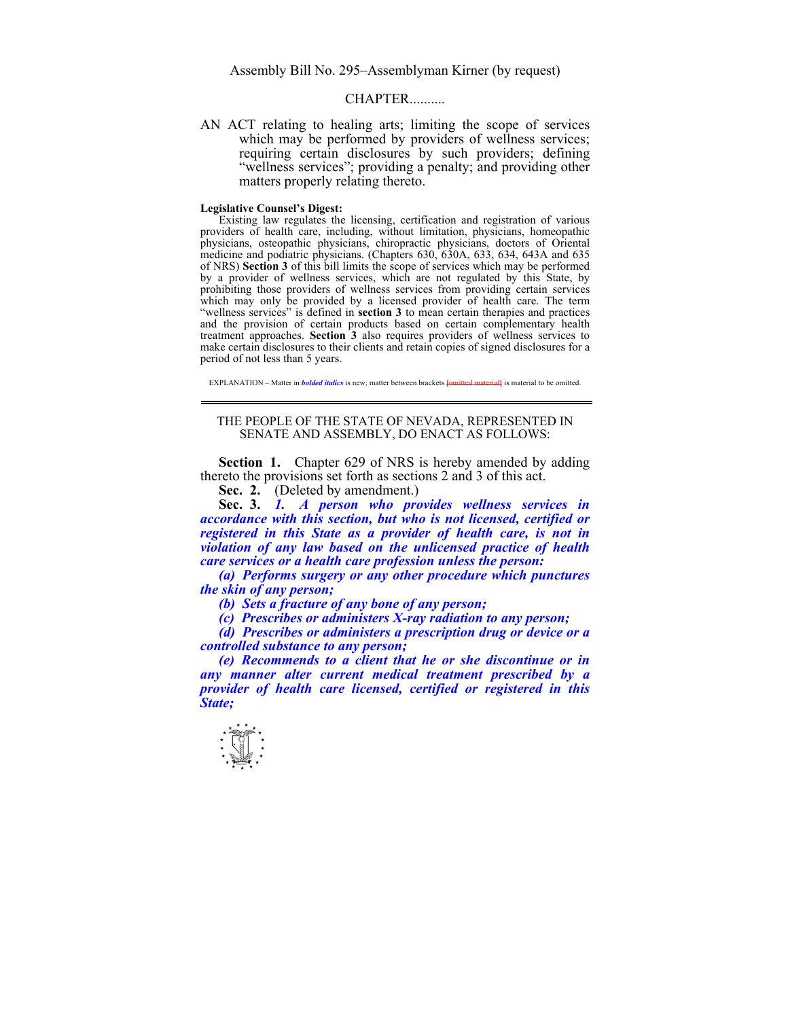Assembly Bill No. 295–Assemblyman Kirner (by request)

## CHAPTER...

AN ACT relating to healing arts; limiting the scope of services which may be performed by providers of wellness services; requiring certain disclosures by such providers; defining "wellness services"; providing a penalty; and providing other matters properly relating thereto.

## **Legislative Counsel's Digest:**

Existing law regulates the licensing, certification and registration of various providers of health care, including, without limitation, physicians, homeopathic physicians, osteopathic physicians, chiropractic physicians, doctors of Oriental medicine and podiatric physicians. (Chapters 630, 630A, 633, 634, 643A and 635 of NRS) **Section 3** of this bill limits the scope of services which may be performed by a provider of wellness services, which are not regulated by this State, by prohibiting those providers of wellness services from providing certain services which may only be provided by a licensed provider of health care. The term "wellness services" is defined in **section 3** to mean certain therapies and practices and the provision of certain products based on certain complementary health treatment approaches. **Section 3** also requires providers of wellness services to make certain disclosures to their clients and retain copies of signed disclosures for a period of not less than 5 years.

EXPLANATION – Matter in *bolded italics* is new; matter between brackets **[**omitted material**]** is material to be omitted.

## THE PEOPLE OF THE STATE OF NEVADA, REPRESENTED IN SENATE AND ASSEMBLY, DO ENACT AS FOLLOWS:

**Section 1.** Chapter 629 of NRS is hereby amended by adding thereto the provisions set forth as sections 2 and 3 of this act.

Sec. 2. (Deleted by amendment.)

 **Sec. 3.** *1. A person who provides wellness services in accordance with this section, but who is not licensed, certified or registered in this State as a provider of health care, is not in violation of any law based on the unlicensed practice of health care services or a health care profession unless the person:* 

 *(a) Performs surgery or any other procedure which punctures the skin of any person;* 

 *(b) Sets a fracture of any bone of any person;* 

 *(c) Prescribes or administers X-ray radiation to any person;* 

 *(d) Prescribes or administers a prescription drug or device or a controlled substance to any person;* 

 *(e) Recommends to a client that he or she discontinue or in any manner alter current medical treatment prescribed by a provider of health care licensed, certified or registered in this State;* 

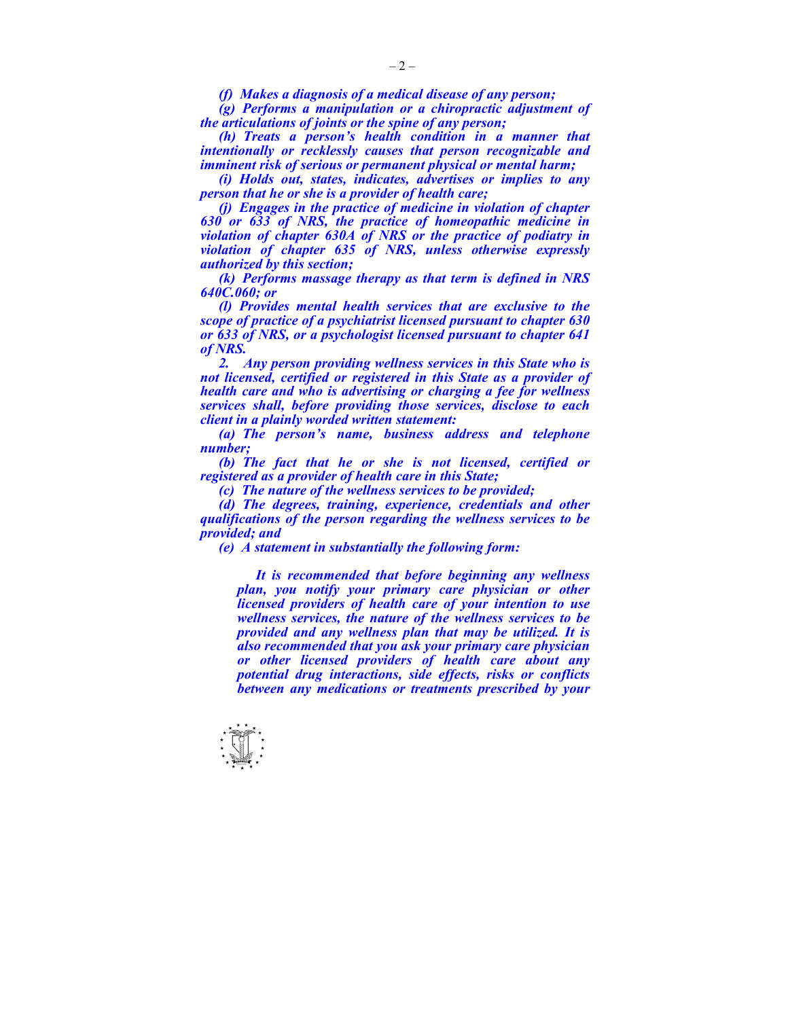*(f) Makes a diagnosis of a medical disease of any person;* 

 *(g) Performs a manipulation or a chiropractic adjustment of the articulations of joints or the spine of any person;* 

 *(h) Treats a person's health condition in a manner that intentionally or recklessly causes that person recognizable and imminent risk of serious or permanent physical or mental harm;* 

 *(i) Holds out, states, indicates, advertises or implies to any person that he or she is a provider of health care;* 

 *(j) Engages in the practice of medicine in violation of chapter 630 or 633 of NRS, the practice of homeopathic medicine in violation of chapter 630A of NRS or the practice of podiatry in violation of chapter 635 of NRS, unless otherwise expressly authorized by this section;* 

 *(k) Performs massage therapy as that term is defined in NRS 640C.060; or* 

 *(l) Provides mental health services that are exclusive to the scope of practice of a psychiatrist licensed pursuant to chapter 630 or 633 of NRS, or a psychologist licensed pursuant to chapter 641 of NRS.* 

 *2. Any person providing wellness services in this State who is not licensed, certified or registered in this State as a provider of health care and who is advertising or charging a fee for wellness services shall, before providing those services, disclose to each client in a plainly worded written statement:* 

 *(a) The person's name, business address and telephone number;* 

 *(b) The fact that he or she is not licensed, certified or registered as a provider of health care in this State;* 

 *(c) The nature of the wellness services to be provided;* 

 *(d) The degrees, training, experience, credentials and other qualifications of the person regarding the wellness services to be provided; and* 

 *(e) A statement in substantially the following form:* 

 *It is recommended that before beginning any wellness plan, you notify your primary care physician or other licensed providers of health care of your intention to use wellness services, the nature of the wellness services to be provided and any wellness plan that may be utilized. It is also recommended that you ask your primary care physician or other licensed providers of health care about any potential drug interactions, side effects, risks or conflicts between any medications or treatments prescribed by your* 

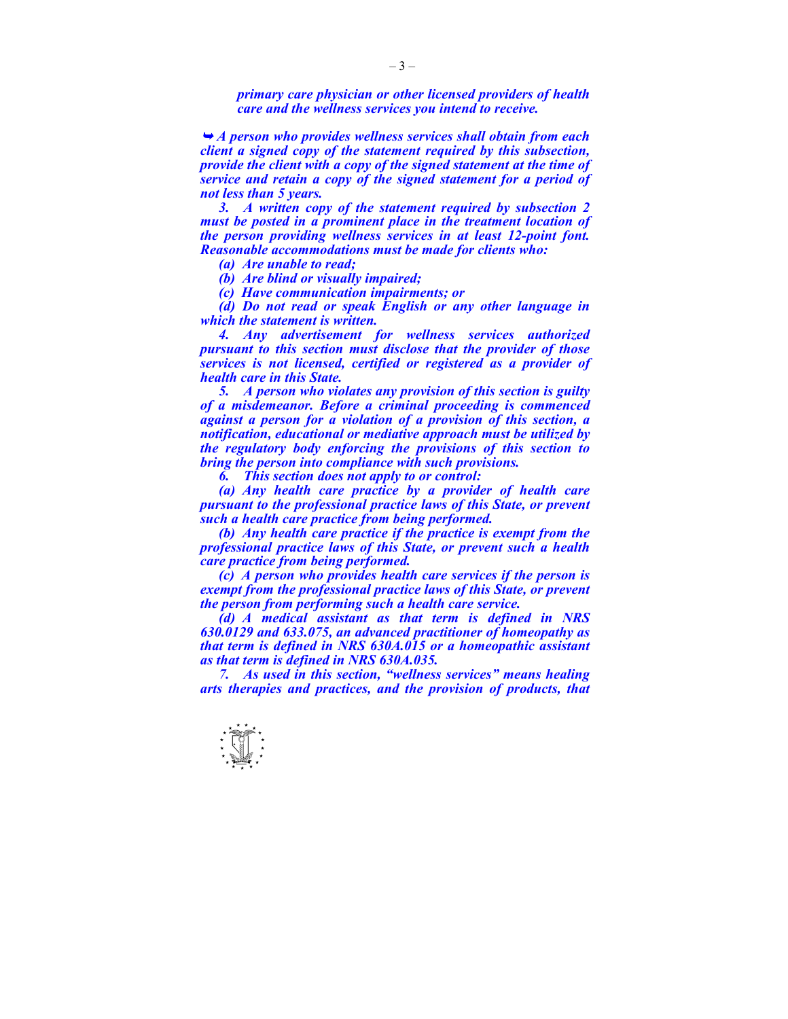*primary care physician or other licensed providers of health care and the wellness services you intend to receive.* 

<sup>¬</sup> *A person who provides wellness services shall obtain from each client a signed copy of the statement required by this subsection, provide the client with a copy of the signed statement at the time of service and retain a copy of the signed statement for a period of not less than 5 years.* 

 *3. A written copy of the statement required by subsection 2 must be posted in a prominent place in the treatment location of the person providing wellness services in at least 12-point font. Reasonable accommodations must be made for clients who:* 

 *(a) Are unable to read;* 

 *(b) Are blind or visually impaired;* 

 *(c) Have communication impairments; or* 

 *(d) Do not read or speak English or any other language in which the statement is written.* 

 *4. Any advertisement for wellness services authorized pursuant to this section must disclose that the provider of those services is not licensed, certified or registered as a provider of health care in this State.* 

 *5. A person who violates any provision of this section is guilty of a misdemeanor. Before a criminal proceeding is commenced against a person for a violation of a provision of this section, a notification, educational or mediative approach must be utilized by the regulatory body enforcing the provisions of this section to bring the person into compliance with such provisions.* 

 *6. This section does not apply to or control:* 

 *(a) Any health care practice by a provider of health care pursuant to the professional practice laws of this State, or prevent such a health care practice from being performed.* 

 *(b) Any health care practice if the practice is exempt from the professional practice laws of this State, or prevent such a health care practice from being performed.* 

 *(c) A person who provides health care services if the person is exempt from the professional practice laws of this State, or prevent the person from performing such a health care service.* 

 *(d) A medical assistant as that term is defined in NRS 630.0129 and 633.075, an advanced practitioner of homeopathy as that term is defined in NRS 630A.015 or a homeopathic assistant as that term is defined in NRS 630A.035.* 

 *7. As used in this section, "wellness services" means healing arts therapies and practices, and the provision of products, that*